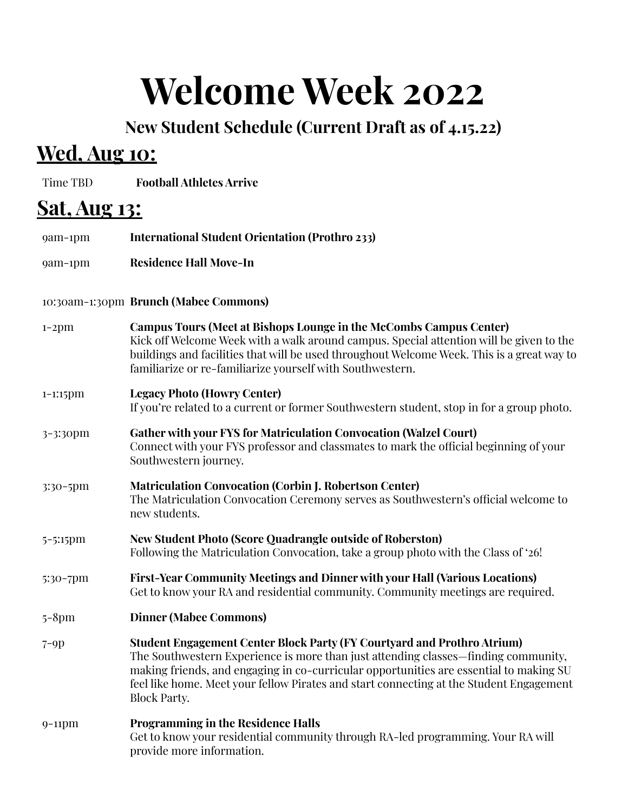# **Welcome Week 2022**

**New Student Schedule (Current Draft as of 4.15.22)**

## **Wed, Aug 10:**

Time TBD **Football Athletes Arrive**

| <u>Sat, Aug 13:</u> |                                                                                                                                                                                                                                                                                                                                                                           |
|---------------------|---------------------------------------------------------------------------------------------------------------------------------------------------------------------------------------------------------------------------------------------------------------------------------------------------------------------------------------------------------------------------|
| 9am-1pm             | <b>International Student Orientation (Prothro 233)</b>                                                                                                                                                                                                                                                                                                                    |
| 9am-1pm             | <b>Residence Hall Move-In</b>                                                                                                                                                                                                                                                                                                                                             |
|                     | 10:30am-1:30pm Brunch (Mabee Commons)                                                                                                                                                                                                                                                                                                                                     |
| $1-2$ pm            | Campus Tours (Meet at Bishops Lounge in the McCombs Campus Center)<br>Kick off Welcome Week with a walk around campus. Special attention will be given to the<br>buildings and facilities that will be used throughout Welcome Week. This is a great way to<br>familiarize or re-familiarize yourself with Southwestern.                                                  |
| $1 - 1:15$ $pm$     | <b>Legacy Photo (Howry Center)</b><br>If you're related to a current or former Southwestern student, stop in for a group photo.                                                                                                                                                                                                                                           |
| 3-3:30pm            | <b>Gather with your FYS for Matriculation Convocation (Walzel Court)</b><br>Connect with your FYS professor and classmates to mark the official beginning of your<br>Southwestern journey.                                                                                                                                                                                |
| 3:30-5pm            | <b>Matriculation Convocation (Corbin J. Robertson Center)</b><br>The Matriculation Convocation Ceremony serves as Southwestern's official welcome to<br>new students.                                                                                                                                                                                                     |
| 5-5:15pm            | <b>New Student Photo (Score Quadrangle outside of Roberston)</b><br>Following the Matriculation Convocation, take a group photo with the Class of '26!                                                                                                                                                                                                                    |
| 5:30-7pm            | First-Year Community Meetings and Dinner with your Hall (Various Locations)<br>Get to know your RA and residential community. Community meetings are required.                                                                                                                                                                                                            |
| $5 - 8$ pm          | <b>Dinner (Mabee Commons)</b>                                                                                                                                                                                                                                                                                                                                             |
| $7-9p$              | Student Engagement Center Block Party (FY Courtyard and Prothro Atrium)<br>The Southwestern Experience is more than just attending classes—finding community,<br>making friends, and engaging in co-curricular opportunities are essential to making SU<br>feel like home. Meet your fellow Pirates and start connecting at the Student Engagement<br><b>Block Party.</b> |
| $9-11$ pm           | <b>Programming in the Residence Halls</b><br>Get to know your residential community through RA-led programming. Your RA will<br>provide more information.                                                                                                                                                                                                                 |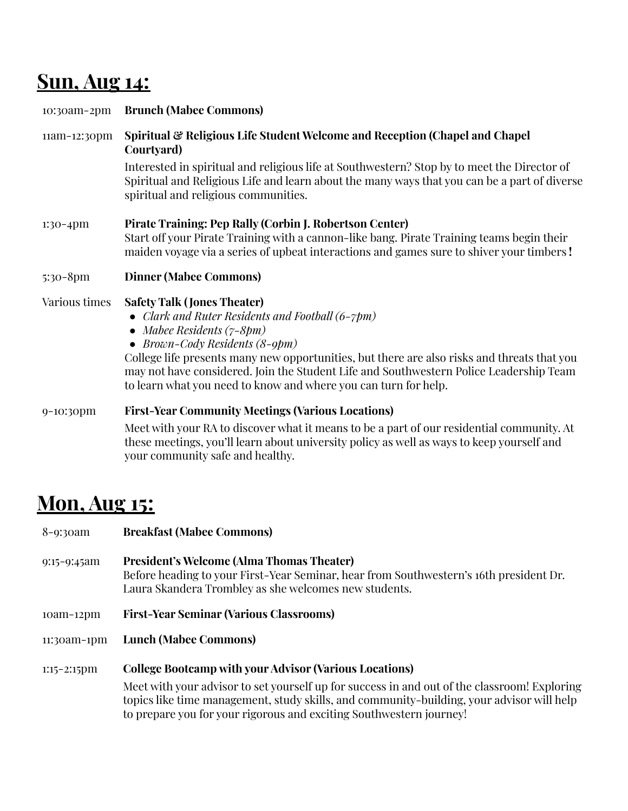## **Sun, Aug 14:**

| 10:30am-2pm   | <b>Brunch (Mabee Commons)</b>                                                                                                                                                                                                                                                                                                                                                                                                 |
|---------------|-------------------------------------------------------------------------------------------------------------------------------------------------------------------------------------------------------------------------------------------------------------------------------------------------------------------------------------------------------------------------------------------------------------------------------|
| 11am-12:30pm  | Spiritual & Religious Life Student Welcome and Reception (Chapel and Chapel<br>Courtyard)                                                                                                                                                                                                                                                                                                                                     |
|               | Interested in spiritual and religious life at Southwestern? Stop by to meet the Director of<br>Spiritual and Religious Life and learn about the many ways that you can be a part of diverse<br>spiritual and religious communities.                                                                                                                                                                                           |
| 1:30-4pm      | Pirate Training: Pep Rally (Corbin J. Robertson Center)<br>Start off your Pirate Training with a cannon-like bang. Pirate Training teams begin their<br>maiden voyage via a series of upbeat interactions and games sure to shiver your timbers!                                                                                                                                                                              |
| 5:30-8pm      | <b>Dinner (Mabee Commons)</b>                                                                                                                                                                                                                                                                                                                                                                                                 |
| Various times | <b>Safety Talk (Jones Theater)</b><br>• Clark and Ruter Residents and Football $(6-\gamma pm)$<br>• Mabee Residents $(7-8pm)$<br>• Brown-Cody Residents $(8-9pm)$<br>College life presents many new opportunities, but there are also risks and threats that you<br>may not have considered. Join the Student Life and Southwestern Police Leadership Team<br>to learn what you need to know and where you can turn for help. |
| 9-10:30pm     | <b>First-Year Community Meetings (Various Locations)</b>                                                                                                                                                                                                                                                                                                                                                                      |
|               | Meet with your RA to discover what it means to be a part of our residential community. At<br>these meetings, you'll learn about university policy as well as ways to keep yourself and<br>your community safe and healthy.                                                                                                                                                                                                    |

## **Mon, Aug 15:**

| $8 - 9:3$ oam  | <b>Breakfast (Mabee Commons)</b>                                                                                                                                                                                                                                 |
|----------------|------------------------------------------------------------------------------------------------------------------------------------------------------------------------------------------------------------------------------------------------------------------|
| $9:15-9:45am$  | <b>President's Welcome (Alma Thomas Theater)</b><br>Before heading to your First-Year Seminar, hear from Southwestern's 16th president Dr.<br>Laura Skandera Trombley as she welcomes new students.                                                              |
| $10am-12pm$    | <b>First-Year Seminar (Various Classrooms)</b>                                                                                                                                                                                                                   |
| 11:30am-1pm    | <b>Lunch (Mabee Commons)</b>                                                                                                                                                                                                                                     |
| $1:15-2:15$ pm | <b>College Bootcamp with your Advisor (Various Locations)</b>                                                                                                                                                                                                    |
|                | Meet with your advisor to set yourself up for success in and out of the classroom! Exploring<br>topics like time management, study skills, and community-building, your advisor will help<br>to prepare you for your rigorous and exciting Southwestern journey! |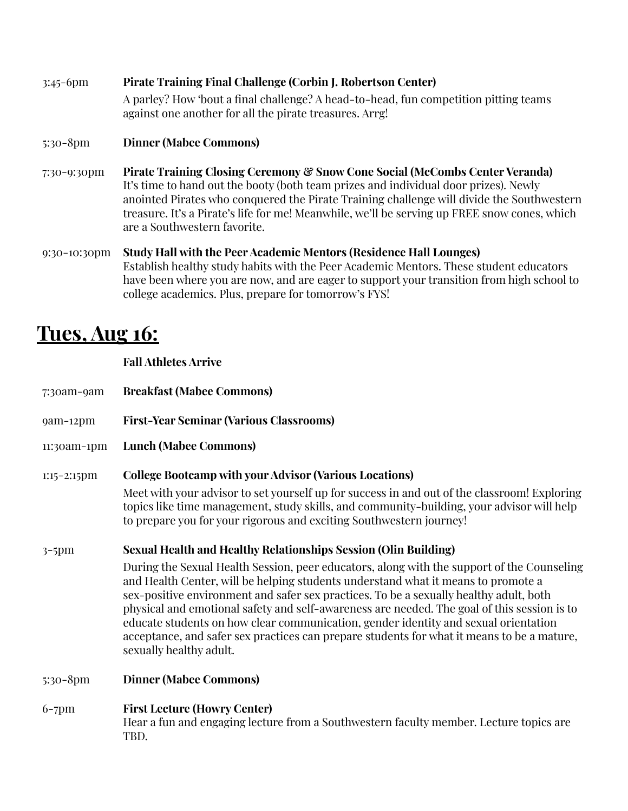3:45-6pm **Pirate Training Final Challenge (Corbin J. Robertson Center)** A parley? How 'bout a final challenge? A head-to-head, fun competition pitting teams against one another for all the pirate treasures. Arrg! 5:30-8pm **Dinner (Mabee Commons)** 7:30-9:30pm **Pirate Training Closing Ceremony & Snow Cone Social (McCombs Center Veranda)** It's time to hand out the booty (both team prizes and individual door prizes). Newly anointed Pirates who conquered the Pirate Training challenge will divide the Southwestern treasure. It's a Pirate's life for me! Meanwhile, we'll be serving up FREE snow cones, which are a Southwestern favorite. 9:30-10:30pm **Study Hall with the Peer Academic Mentors (Residence Hall Lounges)** Establish healthy study habits with the Peer Academic Mentors. These student educators have been where you are now, and are eager to support your transition from high school to college academics. Plus, prepare for tomorrow's FYS!

### **Tues, Aug 16:**

**Fall Athletes Arrive**

- 7:30am-9am **Breakfast (Mabee Commons)**
- 9am-12pm **First-Year Seminar (Various Classrooms)**
- 11:30am-1pm **Lunch (Mabee Commons)**

#### 1:15-2:15pm **College Bootcamp with your Advisor (Various Locations)**

Meet with your advisor to set yourself up for success in and out of the classroom! Exploring topics like time management, study skills, and community-building, your advisor will help to prepare you for your rigorous and exciting Southwestern journey!

#### 3-5pm **Sexual Health and Healthy Relationships Session (Olin Building)**

During the Sexual Health Session, peer educators, along with the support of the Counseling and Health Center, will be helping students understand what it means to promote a sex-positive environment and safer sex practices. To be a sexually healthy adult, both physical and emotional safety and self-awareness are needed. The goal of this session is to educate students on how clear communication, gender identity and sexual orientation acceptance, and safer sex practices can prepare students for what it means to be a mature, sexually healthy adult.

- 5:30-8pm **Dinner (Mabee Commons)**
- 6-7pm **First Lecture (Howry Center)** Hear a fun and engaging lecture from a Southwestern faculty member. Lecture topics are TBD.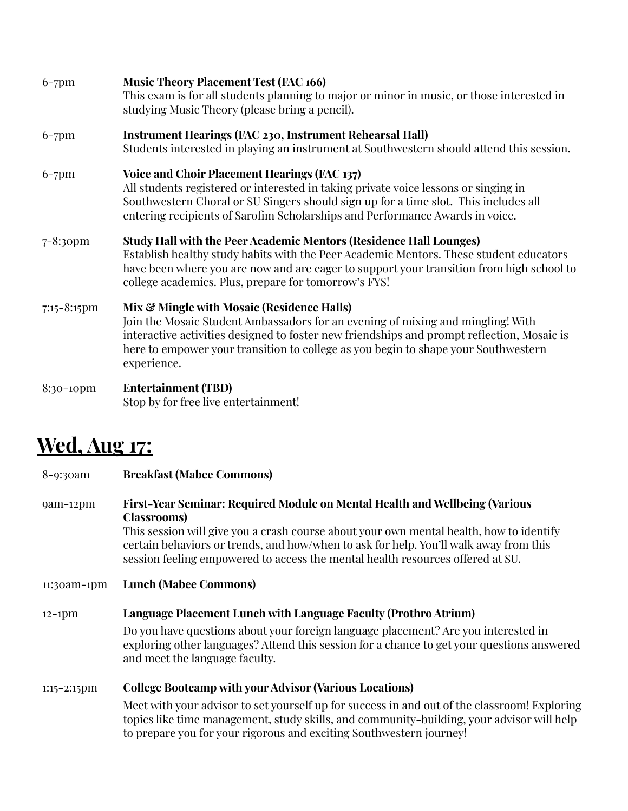| $6-7$ pm         | <b>Music Theory Placement Test (FAC 166)</b><br>This exam is for all students planning to major or minor in music, or those interested in<br>studying Music Theory (please bring a pencil).                                                                                                                                      |
|------------------|----------------------------------------------------------------------------------------------------------------------------------------------------------------------------------------------------------------------------------------------------------------------------------------------------------------------------------|
| $6-7$ pm         | <b>Instrument Hearings (FAC 230, Instrument Rehearsal Hall)</b><br>Students interested in playing an instrument at Southwestern should attend this session.                                                                                                                                                                      |
| $6-7$ pm         | Voice and Choir Placement Hearings (FAC 137)<br>All students registered or interested in taking private voice lessons or singing in<br>Southwestern Choral or SU Singers should sign up for a time slot. This includes all<br>entering recipients of Sarofim Scholarships and Performance Awards in voice.                       |
| $7 - 8:3$ opm    | <b>Study Hall with the Peer Academic Mentors (Residence Hall Lounges)</b><br>Establish healthy study habits with the Peer Academic Mentors. These student educators<br>have been where you are now and are eager to support your transition from high school to<br>college academics. Plus, prepare for tomorrow's FYS!          |
| $7:15 - 8:15$ pm | Mix & Mingle with Mosaic (Residence Halls)<br>Join the Mosaic Student Ambassadors for an evening of mixing and mingling! With<br>interactive activities designed to foster new friendships and prompt reflection, Mosaic is<br>here to empower your transition to college as you begin to shape your Southwestern<br>experience. |
| 8:30-10pm        | <b>Entertainment (TBD)</b><br>Stop by for free live entertainment!                                                                                                                                                                                                                                                               |

### **Wed, Aug 17:**

| $8 - 9:3$ oam  | <b>Breakfast (Mabee Commons)</b>                                                                                                                                                                                                                                                                                                                                         |
|----------------|--------------------------------------------------------------------------------------------------------------------------------------------------------------------------------------------------------------------------------------------------------------------------------------------------------------------------------------------------------------------------|
| 9am-12pm       | First-Year Seminar: Required Module on Mental Health and Wellbeing (Various<br><b>Classrooms</b> )<br>This session will give you a crash course about your own mental health, how to identify<br>certain behaviors or trends, and how/when to ask for help. You'll walk away from this<br>session feeling empowered to access the mental health resources offered at SU. |
| 11:30am-1pm    | <b>Lunch (Mabee Commons)</b>                                                                                                                                                                                                                                                                                                                                             |
| $12-1$ pm      | Language Placement Lunch with Language Faculty (Prothro Atrium)                                                                                                                                                                                                                                                                                                          |
|                | Do you have questions about your foreign language placement? Are you interested in<br>exploring other languages? Attend this session for a chance to get your questions answered<br>and meet the language faculty.                                                                                                                                                       |
| $1:15-2:15$ pm | <b>College Bootcamp with your Advisor (Various Locations)</b>                                                                                                                                                                                                                                                                                                            |
|                | Meet with your advisor to set yourself up for success in and out of the classroom! Exploring<br>topics like time management, study skills, and community-building, your advisor will help<br>to prepare you for your rigorous and exciting Southwestern journey!                                                                                                         |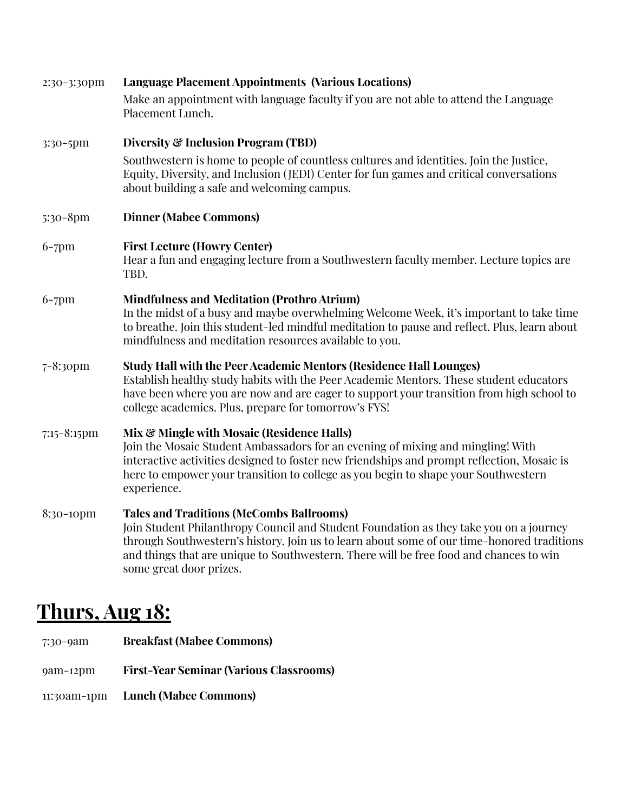| 2:30-3:30pm      | <b>Language Placement Appointments (Various Locations)</b>                                                                                                                                                                                                                                                                                                   |
|------------------|--------------------------------------------------------------------------------------------------------------------------------------------------------------------------------------------------------------------------------------------------------------------------------------------------------------------------------------------------------------|
|                  | Make an appointment with language faculty if you are not able to attend the Language<br>Placement Lunch.                                                                                                                                                                                                                                                     |
| 3:30-5pm         | Diversity & Inclusion Program (TBD)                                                                                                                                                                                                                                                                                                                          |
|                  | Southwestern is home to people of countless cultures and identities. Join the Justice,<br>Equity, Diversity, and Inclusion (JEDI) Center for fun games and critical conversations<br>about building a safe and welcoming campus.                                                                                                                             |
| $5:30-8$ pm      | <b>Dinner (Mabee Commons)</b>                                                                                                                                                                                                                                                                                                                                |
| $6-7$ pm         | <b>First Lecture (Howry Center)</b><br>Hear a fun and engaging lecture from a Southwestern faculty member. Lecture topics are<br>TBD.                                                                                                                                                                                                                        |
| $6-7$ pm         | <b>Mindfulness and Meditation (Prothro Atrium)</b><br>In the midst of a busy and maybe overwhelming Welcome Week, it's important to take time<br>to breathe. Join this student-led mindful meditation to pause and reflect. Plus, learn about<br>mindfulness and meditation resources available to you.                                                      |
| $7 - 8:3$ opm    | <b>Study Hall with the Peer Academic Mentors (Residence Hall Lounges)</b><br>Establish healthy study habits with the Peer Academic Mentors. These student educators<br>have been where you are now and are eager to support your transition from high school to<br>college academics. Plus, prepare for tomorrow's FYS!                                      |
| $7:15 - 8:15$ pm | Mix & Mingle with Mosaic (Residence Halls)<br>Join the Mosaic Student Ambassadors for an evening of mixing and mingling! With<br>interactive activities designed to foster new friendships and prompt reflection, Mosaic is<br>here to empower your transition to college as you begin to shape your Southwestern<br>experience.                             |
| 8:30-10pm        | <b>Tales and Traditions (McCombs Ballrooms)</b><br>Join Student Philanthropy Council and Student Foundation as they take you on a journey<br>through Southwestern's history. Join us to learn about some of our time-honored traditions<br>and things that are unique to Southwestern. There will be free food and chances to win<br>some great door prizes. |

## **Thurs, Aug 18:**

- 7:30-9am **Breakfast (Mabee Commons)**
- 9am-12pm **First-Year Seminar (Various Classrooms)**
- 11:30am-1pm **Lunch (Mabee Commons)**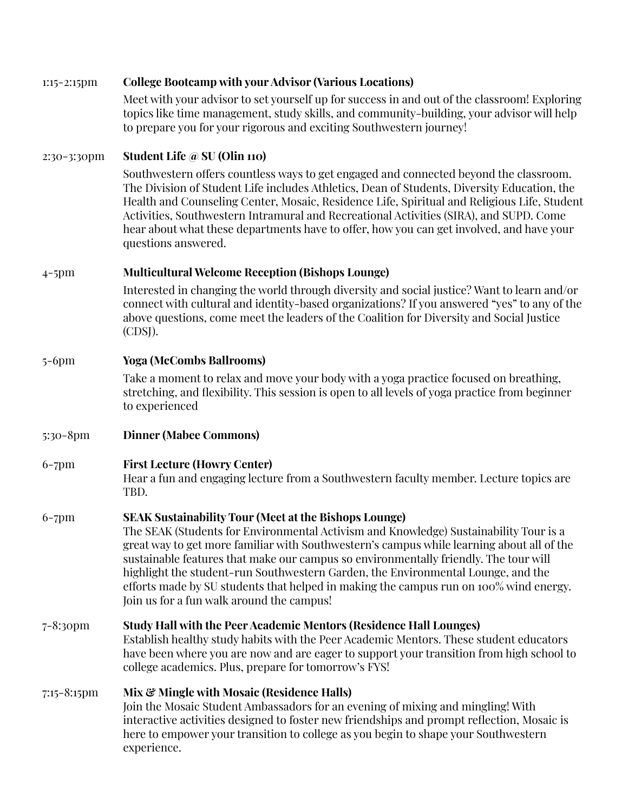#### 1:15-2:15pm **College Bootcamp with your Advisor (Various Locations)**

Meet with your advisor to set yourself up for success in and out of the classroom! Exploring topics like time management, study skills, and community-building, your advisor will help to prepare you for your rigorous and exciting Southwestern journey!

#### 2:30-3:30pm **Student Life @ SU (Olin 110)**

Southwestern offers countless ways to get engaged and connected beyond the classroom. The Division of Student Life includes Athletics, Dean of Students, Diversity Education, the Health and Counseling Center, Mosaic, Residence Life, Spiritual and Religious Life, Student Activities, Southwestern Intramural and Recreational Activities (SIRA), and SUPD. Come hear about what these departments have to offer, how you can get involved, and have your questions answered.

#### 4-5pm **Multicultural Welcome Reception (Bishops Lounge)**

Interested in changing the world through diversity and social justice? Want to learn and/or connect with cultural and identity-based organizations? If you answered "yes" to any of the above questions, come meet the leaders of the Coalition for Diversity and Social Justice (CDSJ).

#### 5-6pm **Yoga (McCombs Ballrooms)**

Take a moment to relax and move your body with a yoga practice focused on breathing, stretching, and flexibility. This session is open to all levels of yoga practice from beginner to experienced

- 5:30-8pm **Dinner (Mabee Commons)**
- 6-7pm **First Lecture (Howry Center)**

Hear a fun and engaging lecture from a Southwestern faculty member. Lecture topics are TBD.

#### 6-7pm **SEAK Sustainability Tour (Meet at the Bishops Lounge)**

The SEAK (Students for Environmental Activism and Knowledge) Sustainability Tour is a great way to get more familiar with Southwestern's campus while learning about all of the sustainable features that make our campus so environmentally friendly. The tour will highlight the student-run Southwestern Garden, the Environmental Lounge, and the efforts made by SU students that helped in making the campus run on 100% wind energy. Join us for a fun walk around the campus!

#### 7-8:30pm **Study Hall with the Peer Academic Mentors (Residence Hall Lounges)** Establish healthy study habits with the Peer Academic Mentors. These student educators have been where you are now and are eager to support your transition from high school to college academics. Plus, prepare for tomorrow's FYS!

#### 7:15-8:15pm **Mix & Mingle with Mosaic (Residence Halls)** Join the Mosaic Student Ambassadors for an evening of mixing and mingling! With interactive activities designed to foster new friendships and prompt reflection, Mosaic is here to empower your transition to college as you begin to shape your Southwestern experience.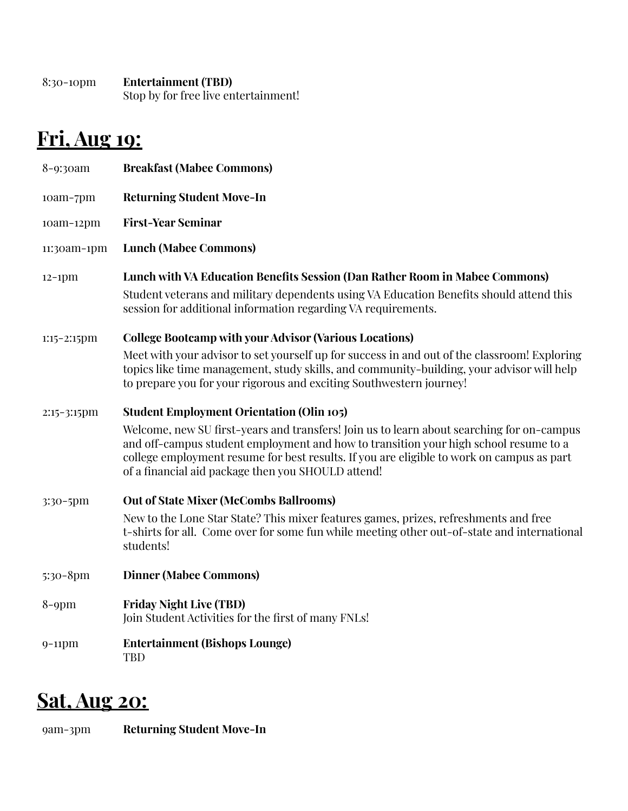| $8:30-10$ pm | <b>Entertainment (TBD)</b>           |
|--------------|--------------------------------------|
|              | Stop by for free live entertainment! |

# **Fri, Aug 19:**

| 8-9:30am       | <b>Breakfast (Mabee Commons)</b>                                                                                                                                                                                                                                                                                                     |
|----------------|--------------------------------------------------------------------------------------------------------------------------------------------------------------------------------------------------------------------------------------------------------------------------------------------------------------------------------------|
| 10am-7pm       | <b>Returning Student Move-In</b>                                                                                                                                                                                                                                                                                                     |
| $10am-12pm$    | <b>First-Year Seminar</b>                                                                                                                                                                                                                                                                                                            |
| 11:30am-1pm    | <b>Lunch (Mabee Commons)</b>                                                                                                                                                                                                                                                                                                         |
| $12-1$ pm      | Lunch with VA Education Benefits Session (Dan Rather Room in Mabee Commons)<br>Student veterans and military dependents using VA Education Benefits should attend this<br>session for additional information regarding VA requirements.                                                                                              |
| $1:15-2:15$ pm | <b>College Bootcamp with your Advisor (Various Locations)</b>                                                                                                                                                                                                                                                                        |
|                | Meet with your advisor to set yourself up for success in and out of the classroom! Exploring<br>topics like time management, study skills, and community-building, your advisor will help<br>to prepare you for your rigorous and exciting Southwestern journey!                                                                     |
| $2:15-3:15$ pm | <b>Student Employment Orientation (Olin 105)</b>                                                                                                                                                                                                                                                                                     |
|                | Welcome, new SU first-years and transfers! Join us to learn about searching for on-campus<br>and off-campus student employment and how to transition your high school resume to a<br>college employment resume for best results. If you are eligible to work on campus as part<br>of a financial aid package then you SHOULD attend! |
| 3:30-5pm       | <b>Out of State Mixer (McCombs Ballrooms)</b>                                                                                                                                                                                                                                                                                        |
|                | New to the Lone Star State? This mixer features games, prizes, refreshments and free<br>t-shirts for all. Come over for some fun while meeting other out-of-state and international<br>students!                                                                                                                                     |
| 5:30-8pm       | <b>Dinner (Mabee Commons)</b>                                                                                                                                                                                                                                                                                                        |
| $8$ -9pm       | <b>Friday Night Live (TBD)</b><br>Join Student Activities for the first of many FNLs!                                                                                                                                                                                                                                                |
| $9-11$ pm      | <b>Entertainment (Bishops Lounge)</b><br><b>TBD</b>                                                                                                                                                                                                                                                                                  |

### **Sat, Aug 20:**

9am-3pm **Returning Student Move-In**